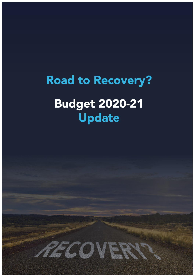# **Road to Recovery? Budget 2020-21 Update**

MECOVERY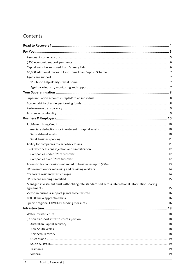# Contents

| Managed investment trust withholding rate standardised across international information sharing |  |
|-------------------------------------------------------------------------------------------------|--|
|                                                                                                 |  |
|                                                                                                 |  |
|                                                                                                 |  |
|                                                                                                 |  |
|                                                                                                 |  |
|                                                                                                 |  |
|                                                                                                 |  |
|                                                                                                 |  |
|                                                                                                 |  |
|                                                                                                 |  |
|                                                                                                 |  |
|                                                                                                 |  |
|                                                                                                 |  |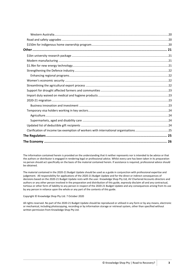The information contained herein is provided on the understanding that it neither represents nor is intended to be advice or that the authors or distributor is engaged in rendering legal or professional advice. Whilst every care has been taken in its preparation no person should act specifically on the basis of the material contained herein. If assistance is required, professional advice should be obtained.

The material contained in the 2020-21 Budget Update should be used as a guide in conjunction with professional expertise and judgement. All responsibility for applications of the 2020-21 Budget Update and for the direct or indirect consequences of decisions based on the 2020-21 Budget Update rests with the user. Knowledge Shop Pty Ltd, AV Chartered Accounts directors and authors or any other person involved in the preparation and distribution of this guide, expressly disclaim all and any contractual, tortious or other form of liability to any person in respect of the 2020-21 Budget Update and any consequences arising from its use by any person in reliance upon the whole or any part of the contents of this guide.

#### Copyright © Knowledge Shop Pty Ltd. 7 October 2020

All rights reserved. No part of the 2020-21 Budget Update should be reproduced or utilised in any form or by any means, electronic or mechanical, including photocopying, recording or by information storage or retrieval system, other than specified without written permission from Knowledge Shop Pty Ltd.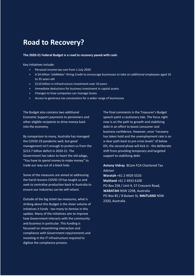# <span id="page-3-0"></span>**Road to Recovery?**

**The 2020-21 Federal Budget is a road to recovery paved with cash.**

Key initiatives include:

- Personal income tax cuts from 1 July 2020
- A \$4 billion 'JobMaker' Hiring Credit to encourage businesses to take on additional employees aged 16 to 35 years old
- $\bullet$  \$110 billion in infrastructure investment over 10 years
- Immediate deductions for business investment in capital assets
- **•** Changes to how companies can manage losses
- Access to generous tax concessions for a wider range of businesses

The Budget also contains two additional Economic Support payments to pensioners and other eligible recipients to drive money back into the economy.

By comparison to many, Australia has managed the COVID-19 pandemic well, but good management isn't enough to protect us from the \$213.7 billion deficit in 2020-21. The Government has taken to heart the old adage, "You have to spend money to make money" to trade our way out of a black hole.

Some of the measures are aimed at addressing the harsh lessons COVID-19 has taught us and seek to centralise production back in Australia to ensure our industries can be self-reliant.

Outside of the big ticket tax measures, what is striking about this Budget is the sheer volume of initiatives it funds - too many to itemise in this update. Many of the initiatives aim to improve how Government interacts with the community and business in particular. This funding is focussed on streamlining interaction and compliance with Government requirements and investing in the IT infrastructure required to digitise the compliance process.

The final comments in the Treasurer's Budget speech paint a cautionary tale. The focus right now is on the path to growth and stabilising debt in an effort to boost consumer and business confidence. However, once "recovery has taken hold and the unemployment rate is on a clear path back to pre-crisis levels" of below 6%, the second phase will kick in - the deliberate shift from providing temporary and targeted support to stabilising debt.

**Antony Vidray** BCom FCA Chartered Tax Adviser **Waratah** +61 2 4929 5533 **Maitland** +61 2 4933 6100 PO Box 258 / Unit 9, 57 Crescent Road, **WARATAH** NSW 2298, Australia PO Box 85 / 8 Bulwer St, **MAITLAND** NSW 2320, Australia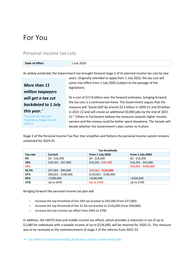# <span id="page-4-0"></span>For You

### <span id="page-4-1"></span>Personal income tax cuts

| .              | 2020 |
|----------------|------|
| Date of effect |      |

As widely predicted, the Government has brought forward stage 2 of its planned income tax cuts by two

*More than 11 million taxpayers will get a tax cut backdated to 1 July this year."*

*Treasurer the Hon Josh Frydenberg, Budget Speech 2020-21*

years. Originally intended to apply from 1 July 2022, the tax cuts will come into effect from 1 July 2020 (subject to the passage of the legislation).

At a cost of \$17.8 billion over the forward estimates, bringing forward the tax cuts is a controversial move. The Government argues that the measure will "boost GDP by around \$3.5 billion in 2020-21 and \$9 billion in 2021-22 and will create an additional 50,000 jobs by the end of 2021- 22." Others in Parliament believe the measure rewards higher income earners and the money could be better spent elsewhere. The Senate will decide whether the Government's plan comes to fruition.

Stage 3 of the Personal Income Tax Plan that simplifies and flattens the personal income system remains scheduled for 2024-25.

|             | <b>Tax thresholds</b> |                       |                      |
|-------------|-----------------------|-----------------------|----------------------|
| Tax rate    | <b>Current</b>        | From 1 July 2020      | From 1 July 2024     |
| 0%          | $$0 - $18,200$        | $$0 - $18,200$        | $$0 - $18,200$       |
| 19%         | \$18,201 - \$37,000   | \$18,201 - \$45,000   | \$18,201 - \$45,000  |
| 30%         |                       |                       | \$45,001 - \$200,000 |
| 32.5%       | \$37,001 - \$90,000   | \$45,001 \$120,000    |                      |
| 37%         | \$90,001 - \$180,000  | \$120,001 - \$180,000 | -                    |
| 45%         | $>$ \$180,000         | $>$ \$180,000         | >\$200,000           |
| <b>LITO</b> | Up to \$445           | <b>Up to \$700</b>    | Up to \$700          |

Bringing forward the personal income tax plan will:

- Increase the top threshold of the 19% tax bracket to \$45,000 (from \$37,000)
- Increase the top threshold of the 32.5% tax bracket to \$120,000 (from \$90,000)
- Increase the low income tax offset from \$445 to \$700

In addition, the LMITO (low and middle income tax offset), which provides a reduction in tax of up to \$1,080 for individuals with a taxable income of up to \$126,000, will be retained for 2020-21. This measure was to be removed at the commencement of stage 2 of the reforms from 2022-23.

 $\rightarrow$  [Tax relief to back hard-working Australians and to create more jobs](https://ministers.treasury.gov.au/ministers/josh-frydenberg-2018/media-releases/tax-relief-back-hard-working-australians-and-create)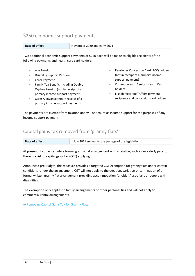# <span id="page-5-0"></span>\$250 economic support payments

**Date of effect** November 2020 and early 2021

Two additional economic support payments of \$250 each will be made to eligible recipients of the following payments and health care card holders:

- Age Pension
- Disability Support Pension
- Carer Payment
- **Family Tax Benefit, including Double** Orphan Pension (not in receipt of a primary income support payment)
- Carer Allowance (not in receipt of a primary income support payment)
- Pensioner Concession Card (PCC) holders (not in receipt of a primary income support payment)
- Commonwealth Seniors Health Card holders
- Eligible Veterans' Affairs payment recipients and concession card holders.

The payments are exempt from taxation and will not count as income support for the purposes of any income support payment.

# <span id="page-5-1"></span>Capital gains tax removed from 'granny flats'

| Date of effect | 1 July 2021 subject to the passage of the legislation |
|----------------|-------------------------------------------------------|
|----------------|-------------------------------------------------------|

At present, if you enter into a formal granny flat arrangement with a relative, such as an elderly parent, there is a risk of capital gains tax (CGT) applying.

Announced pre Budget, this measure provides a targeted CGT exemption for granny flats under certain conditions. Under the arrangement, CGT will not apply to the creation, variation or termination of a formal written granny flat arrangement providing accommodation for older Australians or people with disabilities.

The exemption only applies to family arrangements or other personal ties and will not apply to commercial rental arrangements.

→ [Removing Capital Gains Tax for Granny Flats](https://ministers.treasury.gov.au/ministers/josh-frydenberg-2018/media-releases/removing-capital-gains-tax-granny-flats)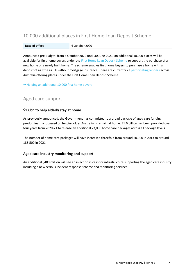# <span id="page-6-0"></span>10,000 additional places in First Home Loan Deposit Scheme

**Date of effect** 6 October 2020

Announced pre Budget, from 6 October 2020 until 30 June 2021, an additional 10,000 places will be available for first home buyers under the [First Home Loan Deposit Scheme](https://www.nhfic.gov.au/what-we-do/fhlds/) to support the purchase of a new home or a newly built home. The scheme enables first home buyers to purchase a home with a deposit of as little as 5% without mortgage insurance. There are currently 27 [participating lenders](https://www.nhfic.gov.au/what-we-do/fhlds/how-to-apply/#FHLDSlenders) across Australia offering places under the First Home Loan Deposit Scheme.

<span id="page-6-1"></span> $\rightarrow$  [Helping an additional 10,000 first home buyers](https://ministers.treasury.gov.au/ministers/josh-frydenberg-2018/media-releases/helping-additional-10000-first-home-buyers)

# Aged care support

#### <span id="page-6-2"></span>**\$1.6bn to help elderly stay at home**

As previously announced, the Government has committed to a broad package of aged care funding predominantly focussed on helping older Australians remain at home. \$1.6 billion has been provided over four years from 2020-21 to release an additional 23,000 home care packages across all package levels.

The number of home care packages will have increased threefold from around 60,300 in 2013 to around 185,500 in 2021.

#### <span id="page-6-3"></span>**Aged care industry monitoring and support**

An additional \$400 million will see an injection in cash for infrastructure supporting the aged care industry including a new serious incident response scheme and monitoring services.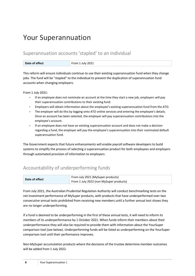# <span id="page-7-0"></span>Your Superannuation

# <span id="page-7-1"></span>Superannuation accounts 'stapled' to an individual

| Date of effect | From 1 July 2021 |
|----------------|------------------|
|                |                  |

This reform will ensure individuals continue to use their existing superannuation fund when they change jobs. The fund will be "stapled" to the individual to prevent the duplication of superannuation fund accounts when changing employers.

From 1 July 2021:

- If an employee does not nominate an account at the time they start a new job, employers will pay their superannuation contributions to their existing fund.
- Employers will obtain information about the employee's existing superannuation fund from the ATO.
- The employer will do this by logging onto ATO online services and entering the employee's details. Once an account has been selected, the employer will pay superannuation contributions into the employee's account.
- If an employee does not have an existing superannuation account and does not make a decision regarding a fund, the employer will pay the employee's superannuation into their nominated default superannuation fund.

The Government expects that future enhancements will enable payroll software developers to build systems to simplify the process of selecting a superannuation product for both employees and employers through automated provision of information to employers.

# <span id="page-7-2"></span>Accountability of underperforming funds

| Date of effect | From July 2021 (MySuper products)       |
|----------------|-----------------------------------------|
|                | From 1 July 2022 (non MySuper products) |

From July 2021, the Australian Prudential Regulation Authority will conduct benchmarking tests on the net investment performance of MySuper products, with products that have underperformed over two consecutive annual tests prohibited from receiving new members until a further annual test shows they are no longer underperforming.

If a fund is deemed to be underperforming in the first of these annual tests, it will need to inform its members of its underperformance by 1 October 2021. When funds inform their members about their underperformance they will also be required to provide them with information about the YourSuper comparison tool (see below). Underperforming funds will be listed as underperforming on the YourSuper comparison tool until their performance improves.

Non-MySuper accumulation products where the decisions of the trustee determine member outcomes will be added from 1 July 2022.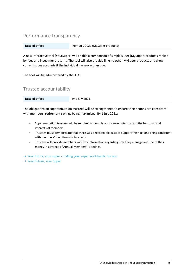## <span id="page-8-0"></span>Performance transparency

| Date of effect | From July 2021 (MySuper products) |
|----------------|-----------------------------------|
|----------------|-----------------------------------|

A new interactive tool (YourSuper) will enable a comparison of simple super (MySuper) products ranked by fees and investment returns. The tool will also provide links to other MySuper products and show current super accounts if the individual has more than one.

<span id="page-8-1"></span>The tool will be administered by the ATO.

### Trustee accountability

| Date of effect<br>1 July 2021<br>By 1 |
|---------------------------------------|
|---------------------------------------|

The obligations on superannuation trustees will be strengthened to ensure their actions are consistent with members' retirement savings being maximised. By 1 July 2021:

- Superannuation trustees will be required to comply with a new duty to act in the best financial interests of members.
- **Trustees must demonstrate that there was a reasonable basis to support their actions being consistent** with members' best financial interests.
- Trustees will provide members with key information regarding how they manage and spend their money in advance of Annual Members' Meetings.

→ Your future, your super - [making your super work harder for you](https://ministers.treasury.gov.au/ministers/josh-frydenberg-2018/media-releases/your-future-your-super-making-your-super-work-harder)

→ [Your Future, Your Super](https://treasury.gov.au/sites/default/files/2020-10/p2020-super_0.pdf)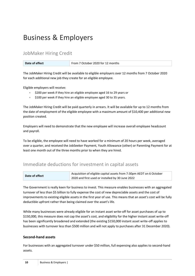# <span id="page-9-0"></span>Business & Employers

# <span id="page-9-1"></span>JobMaker Hiring Credit

| Date of effect | From 7 October 2020 for 12 months |
|----------------|-----------------------------------|
|----------------|-----------------------------------|

The JobMaker Hiring Credit will be available to eligible employers over 12 months from 7 October 2020 for each additional new job they create for an eligible employee.

Eligible employers will receive:

- \$200 per week if they hire an eligible employee aged 16 to 29 years or
- \$100 per week if they hire an eligible employee aged 30 to 35 years.

The JobMaker Hiring Credit will be paid quarterly in arrears. It will be available for up to 12 months from the date of employment of the eligible employee with a maximum amount of \$10,400 per additional new position created.

Employers will need to demonstrate that the new employee will increase overall employee headcount and payroll.

To be eligible, the employee will need to have worked for a minimum of 20 hours per week, averaged over a quarter, and received the JobSeeker Payment, Youth Allowance (other) or Parenting Payment for at least one month out of the three months prior to when they are hired.

# <span id="page-9-2"></span>Immediate deductions for investment in capital assets

| Date of effect | Acquisition of eligible capital assets from 7:30pm AEDT on 6 October |
|----------------|----------------------------------------------------------------------|
|                | 2020 and first used or installed by 30 June 2022                     |

The Government is really keen for business to invest. This measure enables businesses with an aggregated turnover of less than \$5 billion to fully expense the cost of new depreciable assets and the cost of improvements to existing eligible assets in the first year of use. This means that an asset's cost will be fully deductible upfront rather than being claimed over the asset's life.

While many businesses were already eligible for an instant asset write-off for asset purchases of up to \$150,000, this measure does not cap the asset's cost, and eligibility for the higher instant asset write-off has been significantly broadened and extended (the existing \$150,000 instant asset write-off applies to businesses with turnover less than \$500 million and will not apply to purchases after 31 December 2020).

#### <span id="page-9-3"></span>**Second-hand assets**

For businesses with an aggregated turnover under \$50 million, full expensing also applies to second-hand assets.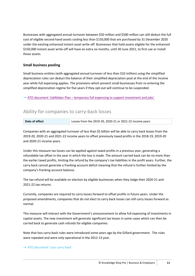Businesses with aggregated annual turnover between \$50 million and \$500 million can still deduct the full cost of eligible second-hand assets costing less than \$150,000 that are purchased by 31 December 2020 under the existing enhanced instant asset write-off. Businesses that hold assets eligible for the enhanced \$150,000 instant asset write-off will have an extra six months, until 30 June 2021, to first use or install those assets.

#### <span id="page-10-0"></span>**Small business pooling**

Small business entities (with aggregated annual turnover of less than \$10 million) using the simplified depreciation rules can deduct the balance of their simplified depreciation pool at the end of the income year while full expensing applies. The provisions which prevent small businesses from re-entering the simplified depreciation regime for five years if they opt-out will continue to be suspended.

<span id="page-10-1"></span> $\rightarrow$  ATO document 'JobMaker Plan – [temporary full expensing to support investment and jobs'](https://www.ato.gov.au/General/New-legislation/In-detail/Direct-taxes/Income-tax-for-businesses/JobMaker-Plan---temporary-full-expensing-to-support-investment-and-jobs/)

### Ability for companies to carry-back losses

| Date of effect | Losses from the 2019-20, 2020-21 or 2021-22 income years |
|----------------|----------------------------------------------------------|
|----------------|----------------------------------------------------------|

Companies with an aggregated turnover of less than \$5 billion will be able to carry back losses from the 2019-20, 2020-21 and 2021-22 income years to offset previously taxed profits in the 2018-19, 2019-20 and 2020-21 income years.

Under this measure tax losses can be applied against taxed profits in a previous year, generating a refundable tax offset in the year in which the loss is made. The amount carried back can be no more than the earlier taxed profits, limiting the refund by the company's tax liabilities in the profit years. Further, the carry back cannot generate a franking account deficit meaning that the refund is further limited by the company's franking account balance.

The tax refund will be available on election by eligible businesses when they lodge their 2020-21 and 2021-22 tax returns.

Currently, companies are required to carry losses forward to offset profits in future years. Under the proposed amendments, companies that do not elect to carry back losses can still carry losses forward as normal.

This measure will interact with the Government's announcement to allow full expensing of investments in capital assets. The new investment will generate significant tax losses in some cases which can then be carried back to generate cash refunds for eligible companies.

Note that loss carry-back rules were introduced some years ago by the Gillard government. The rules were repealed and were only operational in the 2012-13 year.

#### → [ATO document 'Loss carry back'](https://www.ato.gov.au/General/New-legislation/In-detail/Direct-taxes/Income-tax-for-businesses/Loss-carry-back/)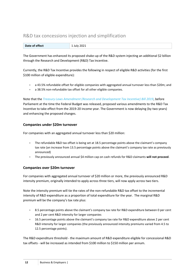# <span id="page-11-0"></span>R&D tax concessions injection and simplification

| Date of effect | 1 July 2021 |
|----------------|-------------|
|                |             |

The Government has enhanced its proposed shake-up of the R&D system injecting an additional \$2 billion through the Research and Development (R&D) Tax Incentive.

Currently, the R&D Tax Incentive provides the following in respect of eligible R&D activities (for the first \$100 million of eligible expenditure):

- a 43.5% refundable offset for eligible companies with aggregated annual turnover less than \$20m; and
- a 38.5% non-refundable tax offset for all other eligible companies.

Note that the *[Treasury Laws Amendment \(Research and Development Tax Incentive\) Bill 2019](https://www.aph.gov.au/Parliamentary_Business/Bills_LEGislation/Bills_Search_Results/Result?bId=r6473)*, before Parliament at the time the Federal Budget was released, proposed various amendments to the R&D Tax Incentive to take effect from the 2019-20 income year. The Government is now delaying (by two years) and enhancing the proposed changes.

#### <span id="page-11-1"></span>**Companies under \$20m turnover**

For companies with an aggregated annual turnover less than \$20 million:

- The refundable R&D tax offset is being set at 18.5 percentage points above the claimant's company tax rate (an increase from 13.5 percentage points above the claimant's company tax rate as previously announced)
- The previously announced annual \$4 million cap on cash refunds for R&D claimants **will not proceed**.

#### <span id="page-11-2"></span>**Companies over \$20m turnover**

For companies with aggregated annual turnover of \$20 million or more, the previously announced R&D intensity premium, originally intended to apply across three tiers, will now apply across two tiers.

Note the intensity premium will tie the rates of the non-refundable R&D tax offset to the incremental intensity of R&D expenditure as a proportion of total expenditure for the year. The marginal R&D premium will be the company's tax rate plus:

- 8.5 percentage points above the claimant's company tax rate for R&D expenditure between 0 per cent and 2 per cent R&D intensity for larger companies
- 16.5 percentage points above the claimant's company tax rate for R&D expenditure above 2 per cent R&D intensity for larger companies (the previously announced intensity premiums varied from 4.5 to 12.5 percentage points).

The R&D expenditure threshold - the maximum amount of R&D expenditure eligible for concessional R&D tax offsets - will be increased as intended from \$100 million to \$150 million per annum.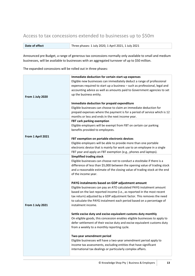# <span id="page-12-0"></span>Access to tax concessions extended to businesses up to \$50m

| Date of effect | Three phases: 1 July 2020, 1 April 2021, 1 July 2021 |
|----------------|------------------------------------------------------|
|----------------|------------------------------------------------------|

Announced pre Budget, a range of generous tax concessions normally only available to small and medium businesses, will be available to businesses with an aggregated turnover of up to \$50 million.

The expanded concessions will be rolled out in three phases:

| From 1 July 2020  | Immediate deduction for certain start-up expenses<br>Eligible new businesses can immediately deduct a range of professional<br>expenses required to start up a business - such as professional, legal and<br>accounting advice as well as amounts paid to Government agencies to set<br>up the business entity.                                                             |
|-------------------|-----------------------------------------------------------------------------------------------------------------------------------------------------------------------------------------------------------------------------------------------------------------------------------------------------------------------------------------------------------------------------|
|                   | Immediate deduction for prepaid expenditure<br>Eligible businesses can choose to claim an immediate deduction for<br>prepaid expenses where the payment is for a period of service which is 12<br>months or less and ends in the next income year.                                                                                                                          |
|                   | FBT cark parking exemption<br>Eligible employers will be exempt from FBT on certain car parking<br>benefits provided to employees.                                                                                                                                                                                                                                          |
| From 1 April 2021 | FBT exemption on portable electronic devices<br>Eligible employers will be able to provide more than one portable<br>electronic device that is mainly for work use to an employee in a single<br>FBT year and apply an FBT exemption (e.g., phones and laptops).                                                                                                            |
|                   | <b>Simplified trading stock</b><br>Eligible businesses can choose not to conduct a stocktake if there is a<br>difference of less than \$5,000 between the opening value of trading stock<br>and a reasonable estimate of the closing value of trading stock at the end<br>of the income year.                                                                               |
| From 1 July 2021  | PAYG instalments based on GDP adjustment amount<br>Eligible businesses can pay an ATO calculated PAYG instalment amount<br>based on the last reported income (i.e., as reported in the most recent<br>tax return) adjusted by a GDP adjustment factor. This removes the need<br>to calculate the PAYG instalment each period based on a percentage of<br>instalment income. |
|                   | Settle excise duty and excise-equivalent customs duty monthly<br>On eligible goods, this concession enables eligible businesses to apply to<br>defer settlement of their excise duty and excise equivalent customs duty<br>from a weekly to a monthly reporting cycle.                                                                                                      |
|                   | Two-year amendment period<br>Eligible businesses will have a two-year amendment period apply to<br>income tax assessments, excluding entities that have significant<br>international tax dealings or particularly complex affairs.                                                                                                                                          |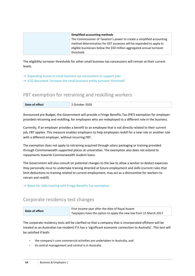| Simplified accounting methods                                          |
|------------------------------------------------------------------------|
| The Commissioner of Taxation's power to create a simplified accounting |
| method determination for GST purposes will be expanded to apply to     |
| eligible businesses below the \$50 million aggregated annual turnover  |
| threshold.                                                             |

The eligibility turnover thresholds for other small business tax concessions will remain at their current levels.

- $\rightarrow$  [Expanding access to small business tax concessions to support jobs](https://ministers.treasury.gov.au/ministers/josh-frydenberg-2018/media-releases/expanding-access-small-business-tax-concessions)
- <span id="page-13-0"></span>[ATO document 'Increase the small business entity turnover threshold'](https://www.ato.gov.au/General/New-legislation/In-detail/Direct-taxes/Income-tax-for-businesses/Increase-the-small-business-entity-turnover-threshold/)

# FBT exemption for retraining and reskilling workers

| Date of effect | 2020<br>October 2 |
|----------------|-------------------|
|----------------|-------------------|

Announced pre Budget, the Government will provide a Fringe Benefits Tax (FBT) exemption for employerprovided retraining and reskilling, for employees who are redeployed to a different role in the business.

Currently, if an employer provides a benefit to an employee that is not directly related to their current job, FBT applies. This measure enables employers to help employees reskill for a new role or another role with a different employer, without incurring FBT.

The exemption does not apply to retraining acquired through salary packaging or training provided through Commonwealth supported places at universities. The exemption also does not extend to repayments towards Commonwealth student loans.

The Government will also consult on potential changes to the law to allow a worker to deduct expenses they personally incur to undertake training directed at future employment and skills (current rules that limit deductions to training related to current employment, may act as a disincentive for workers to retrain and reskill).

<span id="page-13-1"></span> $\rightarrow$  [Boost for skills training with Fringe Benefits Tax exemption](https://ministers.treasury.gov.au/ministers/josh-frydenberg-2018/media-releases/boost-skills-training-fringe-benefits-tax-exemption)

### Corporate residency test changes

|                | First income year after the date of Royal Assent                  |
|----------------|-------------------------------------------------------------------|
| Date of effect | Taxpayers have the option to apply the new law from 15 March 2017 |

The corporate residency tests will be clarified so that a company that is incorporated offshore will be treated as an Australian tax resident if it has a 'significant economic connection to Australia'. This test will be satisfied if both:

- the company's core commercial activities are undertaken in Australia, and
- its central management and control is in Australia.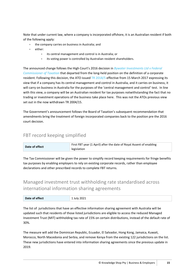Note that under current law, where a company is incorporated offshore, it is an Australian resident if both of the following apply:

- the company carries on business in Australia; and
- either:
	- its central management and control is in Australia; or
	- its voting power is controlled by Australian resident shareholders.

The announced change follows the High Court's 2016 decision in *[Bywater Investments Ltd v Federal](http://eresources.hcourt.gov.au/showCase/2016/HCA/45)  [Commissioner of Taxation](http://eresources.hcourt.gov.au/showCase/2016/HCA/45)* that departed from the long-held position on the definition of a corporate resident. Following this decision, the ATO issued [TR 2018/5](https://www.ato.gov.au/law/view/document?docid=TXR/TR20185/NAT/ATO/00001) effective from 15 March 2017 expressing its view that if a company has its central management and control in Australia, and it carries on business, it will carry on business in Australia for the purposes of the 'central management and control' test. In line with this view, a company will be an Australian resident for tax purposes notwithstanding the fact that no trading or investment operations of the business take place here. This was not the ATOs previous view set out in the now withdrawn TR 2004/15.

The Government's announcement follows the Board of Taxation's subsequent recommendation that amendments bring the treatment of foreign incorporated companies back to the position pre the 2016 court decision.

# <span id="page-14-0"></span>FBT record keeping simplified

| Date of effect | First FBT year (1 April) after the date of Royal Assent of enabling |
|----------------|---------------------------------------------------------------------|
|                | legislation                                                         |

The Tax Commissioner will be given the power to simplify record keeping requirements for fringe benefits tax purposes by enabling employers to rely on existing corporate records, rather than employee declarations and other prescribed records to complete FBT returns.

# <span id="page-14-1"></span>Managed investment trust withholding rate standardised across international information sharing agreements

| Date of effect | 1 July 2021 |
|----------------|-------------|
|----------------|-------------|

The list of jurisdictions that have an effective information sharing agreement with Australia will be updated such that residents of those listed jurisdictions are eligible to access the reduced Managed Investment Trust (MIT) withholding tax rate of 15% on certain distributions, instead of the default rate of 30%.

The measure will add the Dominican Republic, Ecuador, El Salvador, Hong Kong, Jamaica, Kuwait, Morocco, North Macedonia and Serbia, and remove Kenya from the existing 122 jurisdictions on the list. These new jurisdictions have entered into information sharing agreements since the previous update in 2019.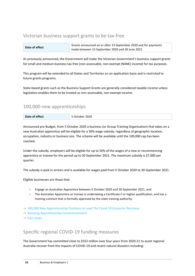# <span id="page-15-0"></span>Victorian business support grants to be tax-free

| Date of effect | Grants announced on or after 13 September 2020 and for payments |
|----------------|-----------------------------------------------------------------|
|                | $^{\circ}$ made between 13 September 2020 and 30 June 2021.     |

As previously announced, the Government will make the Victorian Government's business support grants for small and medium business tax-free (non-assessable, non-exempt (NANE) income) for tax purposes.

This program will be extended to all States and Territories on an application basis and is restricted to future grants programs.

State-based grants such as the Business Support Grants are generally considered taxable income unless legislation enables them to be treated as non-assessable, non-exempt income.

### <span id="page-15-1"></span>100,000 new apprenticeships

| Date of effect | 2020<br>.ner<br>Ħ<br>$\overline{\phantom{0}}$ |
|----------------|-----------------------------------------------|

Announced pre Budget, from 5 October 2020 a business (or Group Training Organisation) that takes on a new Australian apprentice will be eligible for a 50% wage subsidy, regardless of geographic location, occupation, industry or business size. The scheme will be available until the 100,000 cap has been reached.

Under the subsidy, employers will be eligible for up to 50% of the wages of a new or recommencing apprentice or trainee for the period up to 30 September 2021. The maximum subsidy is \$7,000 per quarter.

The subsidy is paid in arrears and is available for wages paid from 5 October 2020 to 30 September 2021.

Eligible businesses are those that:

- Engage an Australian Apprentice between 5 October 2020 and 30 September 2021, and
- The Australian Apprentice or trainee is undertaking a Certificate II or higher qualification, and has a training contract that is formally approved by the state training authority.
- → [100,000 New Apprenticeship Positions to Lead The Covid-19 Economic Recovery](https://www.pm.gov.au/media/100000-new-apprenticeship-positions-lead-covid-19-economic-recovery)
- → [Boosting Apprenticeship Commencements](https://www.employment.gov.au/boosting-apprenticeship-commencements)
- <span id="page-15-2"></span> $\rightarrow$  [Fact sheet](https://docs.employment.gov.au/system/files/doc/other/boosting_apprentices_and_trainees_fact_sheet_final.pdf)

### Specific regional COVID-19 funding measures

The Government has committed close to \$552 million over four years from 2020-21 to assist regional Australia recover from the impacts of COVID-19 and recent natural disasters including: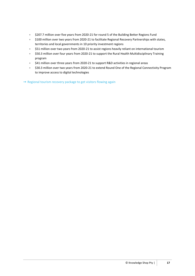- \$207.7 million over five years from 2020-21 for round 5 of the Building Better Regions Fund
- $\bullet$  \$100 million over two years from 2020-21 to facilitate Regional Recovery Partnerships with states, territories and local governments in 10 priority investment regions
- \$51 million over two years from 2020-21 to assist regions heavily reliant on international tourism
- \$50.3 million over four years from 2020-21 to support the Rural Health Multidisciplinary Training program
- $\bullet$  \$41 million over three years from 2020-21 to support R&D activities in regional areas
- \$30.3 million over two years from 2020-21 to extend Round One of the Regional Connectivity Program to improve access to digital technologies

 $\rightarrow$  [Regional tourism recovery package to get visitors flowing again](https://minister.infrastructure.gov.au/mccormack/media-release/regional-tourism-recovery-package-get-visitors-flowing-again)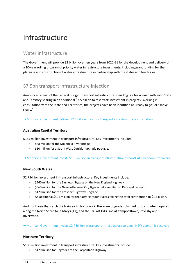# <span id="page-17-0"></span>Infrastructure

# <span id="page-17-1"></span>Water infrastructure

The Government will provide \$2 billion over ten years from 2020-21 for the development and delivery of a 10-year rolling program of priority water infrastructure investments, including grant funding for the planning and construction of water infrastructure in partnership with the states and territories.

# <span id="page-17-2"></span>\$7.5bn transport infrastructure injection

Announced ahead of the Federal Budget, transport infrastructure spending is a big winner with each State and Territory sharing in an additional \$7.5 billion to fast track investment in projects. Working in consultation with the State and Territories, the projects have been identified as "ready to go" or "shovel ready."

<span id="page-17-3"></span> $\rightarrow$  [Morrison Government delivers \\$7.5 billion boost for transport infrastructure across nation](https://ministers.treasury.gov.au/ministers/josh-frydenberg-2018/media-releases/morrison-government-delivers-75-billion-boost)

#### **Australian Capital Territory**

\$155 million investment in transport infrastructure. Key investments include:

- \$88 million for the Molonglo River Bridge
- $\bullet$  \$50 million for a South West Corridor upgrade package.

#### <span id="page-17-4"></span>→ [Morrison Government invests \\$155 million in transport infrastructure to boost ACT economic recovery](https://ministers.treasury.gov.au/ministers/josh-frydenberg-2018/media-releases/morrison-government-invests-155-million-transport)

#### **New South Wales**

\$2.7 billion investment in transport infrastructure. Key investments include:

- \$560 million for the Singleton Bypass on the New England Highway
- \$360 million for the Newcastle Inner City Bypass between Rankin Park and Jesmond
- \$120 million for the Prospect Highway Upgrade
- An additional \$491 million for the Coffs Harbour Bypass taking the total contribution to \$1.5 billion.

And, for those that catch the train each day to work, there are upgrades planned for commuter carparks along the North Shore to St Marys (T1), and the T8 East Hills Line at Campbelltown, Revesby and Riverwood.

<span id="page-17-5"></span>→ [Morrison Government invests \\$2.7 billion in transport infrastructure to boost NSW economic recovery](https://ministers.treasury.gov.au/ministers/josh-frydenberg-2018/media-releases/morrison-government-invests-27-billion-transport)

#### **Northern Territory**

\$190 million investment in transport infrastructure. Key investments include:

\$120 million for upgrades to the Carpentaria Highway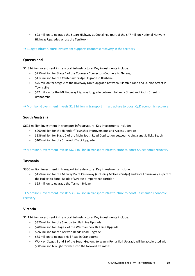• \$23 million to upgrade the Stuart Highway at Coolalinga (part of the \$47 million National Network Highway Upgrades across the Territory)

<span id="page-18-0"></span> $\rightarrow$  [Budget infrastructure investment supports economic recovery in the territory](https://ministers.treasury.gov.au/ministers/josh-frydenberg-2018/media-releases/budget-infrastructure-investment-supports-economic)

#### **Queensland**

\$1.3 billion investment in transport infrastructure. Key investments include:

- \$750 million for Stage 1 of the Coomera Connector (Coomera to Nerang)
- \$112 million for the Centenary Bridge Upgrade in Brisbane
- \$76 million for Stage 2 of the Riverway Drive Upgrade between Allambie Lane and Dunlop Street in Townsville
- \$42 million for the Mt Lindesay Highway Upgrade between Johanna Street and South Street in Jimboomba.

<span id="page-18-1"></span> $\rightarrow$  [Morrison Government invests \\$1.3 billion in transport infrastructure to boost QLD economic recovery](https://ministers.treasury.gov.au/ministers/josh-frydenberg-2018/media-releases/morrison-government-invests-13-billion-transport)

#### **South Australia**

\$625 million investment in transport infrastructure. Key investments include:

- \$200 million for the Hahndorf Township Improvements and Access Upgrade
- \$136 million for Stage 2 of the Main South Road Duplication between Aldinga and Sellicks Beach
- $\bullet$  \$100 million for the Strzelecki Track Upgrade.

<span id="page-18-2"></span> $\rightarrow$  [Morrison Government invests \\$625 million in transport infrastructure to boost SA economic recovery](https://ministers.treasury.gov.au/ministers/josh-frydenberg-2018/media-releases/morrison-government-invests-625-million-transport)

#### **Tasmania**

\$360 million investment in transport infrastructure. Key investments include:

- \$150 million for the Midway Point Causeway (including McGees Bridge) and Sorell Causeway as part of the Hobart to Sorell Roads of Strategic Importance corridor
- \$65 million to upgrade the Tasman Bridge

 $\rightarrow$  Morrison Government invests \$360 million in transport infrastructure to boost Tasmanian economic [recovery](https://ministers.treasury.gov.au/ministers/josh-frydenberg-2018/media-releases/morrison-government-invests-360-million-transport)

#### <span id="page-18-3"></span>**Victoria**

\$1.1 billion investment in transport infrastructure. Key investments include:

- \$320 million for the Shepparton Rail Line Upgrade
- $\bullet$  \$208 million for Stage 2 of the Warrnambool Rail Line Upgrade
- \$292 million for the Barwon Heads Road Upgrade
- \$85 million to upgrade Hall Road in Cranbourne
- Work on Stages 2 and 3 of the South Geelong to Waurn Ponds Rail Upgrade will be accelerated with \$605 million brought forward into the forward estimates.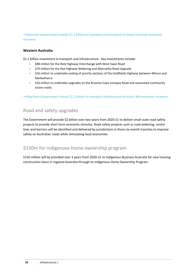$\rightarrow$  Morrison Government invests \$1.1 billion in transport infrastructure to boost Victorian economic [recovery](https://ministers.treasury.gov.au/ministers/josh-frydenberg-2018/media-releases/morrison-government-invests-11-billion-transporthttps:/ministers.treasury.gov.au/ministers/josh-frydenberg-2018/media-releases/morrison-government-invests-11-billion-transport)

#### <span id="page-19-0"></span>**Western Australia**

\$1.1 billion investment in transport and infrastructure. Key investments include:

- **S88 million for the Reid Highway Interchange with West Swan Road**
- \$70 million for the Roe Highway Widening and Abernethy Road Upgrade
- **S16 million to undertake sealing of priority sections of the Goldfields Highway between Wiluna and** Meekatharra
- \$16 million to undertake upgrades on the Broome-Cape Leveque Road and associated community access roads.

<span id="page-19-1"></span> $\rightarrow$  [Morrison Government invests \\$1.1 billion in transport infrastructure to boost WA economic recovery](https://www.pm.gov.au/media/morrison-government-invests-11-billion-transport-infrastructure-boost-wa-economic-recovery)

# Road and safety upgrades

The Government will provide \$2 billion over two years from 2020-21 to deliver small scale road safety projects to provide short term economic stimulus. Road safety projects such as road widening, centre lines and barriers will be identified and delivered by jurisdictions in three six-month tranches to improve safety on Australian roads while stimulating local economies.

# <span id="page-19-2"></span>\$150m for indigenous home ownership program

\$150 million will be provided over 3 years from 2020-21 to Indigenous Business Australia for new housing construction loans in regional Australia through its Indigenous Home Ownership Program.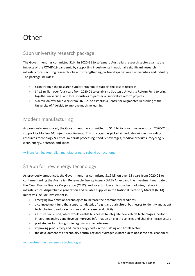# <span id="page-20-0"></span>**Other**

# <span id="page-20-1"></span>\$1bn university research package

The Government has committed \$1bn in 2020-21 to safeguard Australia's research sector against the impacts of the COVID-19 pandemic by supporting investments in nationally significant research infrastructure, securing research jobs and strengthening partnerships between universities and industry. The package includes:

- \$1bn through the Research Support Program to support the cost of research
- \$41.6 million over four years from 2020-21 to establish a Strategic University Reform Fund to bring together universities and local industries to partner on innovative reform projects
- \$20 million over four years from 2020-21 to establish a Centre for Augmented Reasoning at the University of Adelaide to improve machine learning

# <span id="page-20-2"></span>Modern manufacturing

As previously announced, the Government has committed to \$1.5 billion over five years from 2020-21 to support its *Modern Manufacturing Strategy.* This strategy has picked six industry winners including resources technology & critical minerals processing, food & beverages, medical products, recycling & clean energy, defence, and space.

<span id="page-20-3"></span> $\rightarrow$  [Transforming Australian manufacturing to rebuild our economy](https://www.pm.gov.au/media/transforming-australian-manufacturing-rebuild-our-economy)

# \$1.9bn for new energy technology

As previously announced, the Government has committed \$1.9 billion over 12 years from 2020-21 to continue funding the Australian Renewable Energy Agency (ARENA), expand the investment mandate of the Clean Energy Finance Corporation (CEFC), and invest in low emissions technologies, network infrastructure, dispatchable generation and reliable supplies in the National Electricity Market (NEM). Initiatives include investment in:

- emerging low emission technologies to increase their commercial readiness
- a co-investment fund that supports industrial, freight and agricultural businesses to identify and adopt technologies to reduce emissions and increase productivity
- a Future Fuels Fund, which would enable businesses to integrate new vehicle technologies, perform integration analysis and develop improved information on electric vehicles and charging infrastructure
- pilot studies for microgrids in regional and remote areas
- **•** improving productivity and lower energy costs in the building and hotels sectors
- the development of a technology neutral regional hydrogen export hub to boost regional economies

#### $\rightarrow$  Investment [in new energy technologies](https://www.pm.gov.au/media/investment-new-energy-technologies)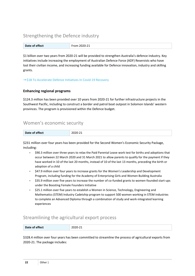# <span id="page-21-0"></span>Strengthening the Defence industry

| Date of effect | $-$<br>. • ר-∩נ. |
|----------------|------------------|
|                |                  |

\$1 billion over two years from 2020-21 will be provided to strengthen Australia's defence industry. Key initiatives include increasing the employment of Australian Defence Force (ADF) Reservists who have lost their civilian income, and increasing funding available for Defence innovation, industry and skilling grants.

#### <span id="page-21-1"></span>→ [\\$1B To Accelerate Defence Initiatives In Covid-19 Recovery](https://www.pm.gov.au/media/1b-accelerate-defence-initiatives-covid-19-recovery)

#### **Enhancing regional programs**

\$124.3 million has been provided over 10 years from 2020-21 for further infrastructure projects in the Southwest Pacific, including to construct a border and patrol boat outpost in Solomon Islands' western provinces. The program is provisioned within the Defence budget.

### <span id="page-21-2"></span>Women's economic security

| $-$<br>Date of effect | .,<br>,,,,<br>$-0-0-1$ |
|-----------------------|------------------------|
|-----------------------|------------------------|

\$231 million over four years has been provided for the Second Women's Economic Security Package, including:

- $\bullet$  \$90.3 million over three years to relax the Paid Parental Leave work test for births and adoptions that occur between 22 March 2020 and 31 March 2021 to allow parents to qualify for the payment if they have worked in 10 of the last 20 months, instead of 10 of the last 13 months, preceding the birth or adoption of a child
- \$47.9 million over four years to increase grants for the Women's Leadership and Development Program, including funding for the Academy of Enterprising Girls and Women Building Australia
- \$35.9 million over five years to increase the number of co-funded grants to women-founded start-ups under the Boosting Female Founders Initiative
- \$25.1 million over five years to establish a Women in Science, Technology, Engineering and Mathematics (STEM) Industry Cadetship program to support 500 women working in STEM industries to complete an Advanced Diploma through a combination of study and work-integrated learning experiences

### <span id="page-21-3"></span>Streamlining the agricultural export process

| Date of effect<br>2020-21 |
|---------------------------|
|---------------------------|

\$328.4 million over four years has been committed to streamline the process of agricultural exports from 2020-21. The package includes: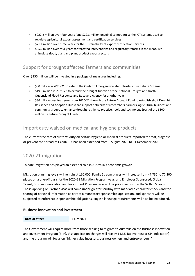- $\bullet$  \$222.2 million over four years (and \$22.3 million ongoing) to modernise the ICT systems used to regulate agricultural export assessment and certification services
- \$71.1 million over three years for the sustainability of export certification services
- $\bullet$  \$35.2 million over four years for targeted interventions and regulatory reforms in the meat, live animal, seafood, plant and plant product export sectors

# <span id="page-22-0"></span>Support for drought affected farmers and communities

Over \$155 million will be invested in a package of measures including:

- \$50 million in 2020-21 to extend the On-farm Emergency Water Infrastructure Rebate Scheme
- $\bullet$  \$19.6 million in 2021-22 to extend the drought function of the National Drought and North Queensland Flood Response and Recovery Agency for another year
- \$86 million over four years from 2020-21 through the Future Drought Fund to establish eight Drought Resilience and Adoption Hubs that support networks of researchers, farmers, agricultural business and community groups to enhance drought resilience practice, tools and technology (part of the \$100 million pa Future Drought Fund).

# <span id="page-22-1"></span>Import duty waived on medical and hygiene products

The current free rate of customs duty on certain hygiene or medical products imported to treat, diagnose or prevent the spread of COVID-19, has been extended from 1 August 2020 to 31 December 2020.

# <span id="page-22-2"></span>2020-21 migration

To date, migration has played an essential role in Australia's economic growth.

Migration planning levels will remain at 160,000. Family Stream places will increase from 47,732 to 77,300 places on a one-off basis for the 2020-21 Migration Program year, and Employer Sponsored, Global Talent, Business Innovation and Investment Program visas will be prioritised within the Skilled Stream. Those applying on Partner visas will come under greater scrutiny with mandated character checks and the sharing of personal information as part of a mandatory sponsorship application, and sponsors will be subjected to enforceable sponsorship obligations. English language requirements will also be introduced.

#### <span id="page-22-3"></span>**Business innovation and investment**

|  | Date of effect |  |
|--|----------------|--|
|--|----------------|--|

The Government will require more from those seeking to migrate to Australia on the Business Innovation and Investment Program (BIIP). Visa application charges will rise by 11.3% (above regular CPI indexation) and the program will focus on "higher value investors, business owners and entrepreneurs."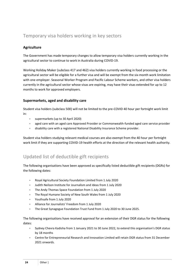# <span id="page-23-0"></span>Temporary visa holders working in key sectors

#### <span id="page-23-1"></span>**Agriculture**

The Government has made temporary changes to allow temporary visa holders currently working in the agricultural sector to continue to work in Australia during COVID-19.

Working Holiday Maker (subclass 417 and 462) visa holders currently working in food processing or the agricultural sector will be eligible for a further visa and will be exempt from the six-month work limitation with one employer. Seasonal Worker Program and Pacific Labour Scheme workers, and other visa holders currently in the agricultural sector whose visas are expiring, may have their visas extended for up to 12 months to work for approved employers.

#### <span id="page-23-2"></span>**Supermarkets, aged and disability care**

Student visa holders (subclass 500) will not be limited to the pre-COVID 40 hour per fortnight work limit in:

- supermarkets (up to 30 April 2020)
- aged care with an aged care Approved Provider or Commonwealth-funded aged care service provider
- disability care with a registered National Disability Insurance Scheme provider.

Student visa holders studying relevant medical courses are also exempt from the 40 hour per fortnight work limit if they are supporting COVID-19 health efforts at the direction of the relevant health authority.

# <span id="page-23-3"></span>Updated list of deductible gift recipients

The following organisations have been approved as specifically listed deductible gift recipients (DGRs) for the following dates:

- Royal Agricultural Society Foundation Limited from 1 July 2020
- Judith Neilson Institute for Journalism and Ideas from 1 July 2020
- The Andy Thomas Space Foundation from 1 July 2020
- The Royal Humane Society of New South Wales from 1 July 2020
- Youthsafe from 1 July 2020
- Alliance for Journalists' Freedom from 1 July 2020
- The Great Synagogue Foundation Trust Fund from 1 July 2020 to 30 June 2025.

The following organisations have received approval for an extension of their DGR status for the following dates:

- Sydney Chevra Kadisha from 1 January 2021 to 30 June 2022, to extend this organisation's DGR status by 18 months
- Centre for Entrepreneurial Research and Innovation Limited will retain DGR status from 31 December 2021 onwards.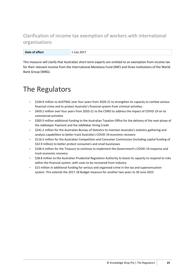# <span id="page-24-0"></span>Clarification of income tax exemption of workers with international organisations

| .              | $-0 + 7$  |
|----------------|-----------|
| Date of effect | $- - - -$ |

This measure will clarify that Australian short-term experts are entitled to an exemption from income tax for their relevant income from the International Monetary Fund (IMF) and three institutions of the World Bank Group (WBG).

# <span id="page-24-1"></span>The Regulators

- $\bullet$  \$104.9 million to AUSTRAC over four years from 2020-21 to strengthen its capacity to combat serious financial crime and to protect Australia's financial system from criminal activities.
- \$459.2 million over four years from 2020-21 to the CSIRO to address the impact of COVID-19 on its commercial activities
- $\bullet$  \$305.9 million additional funding to the Australian Taxation Office for the delivery of the next phase of the JobKeeper Payment and the JobMaker Hiring Credit
- \$241.2 million for the Australian Bureau of Statistics to maintain Australia's statistics gathering and analysis capabilities to better track Australia's COVID-19 economic recovery
- \$116.5 million for the Australian Competition and Consumer Commission (including capital funding of \$32.9 million) to better protect consumers and small businesses
- \$106.4 million for the Treasury to continue to implement the Government's COVID-19 response and track economic recovery
- \$28.8 million to the Australian Prudential Regulation Authority to boost its capacity to respond to risks within the financial system, with costs to be recovered from industry.
- **•** S15 million in additional funding for serious and organised crime in the tax and superannuation system. This extends the 2017-18 Budget measure for another two years to 30 June 2023